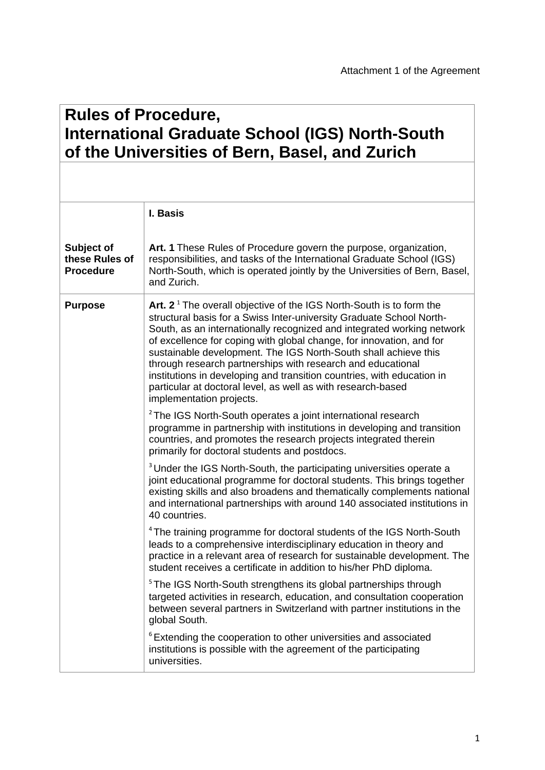## **Rules of Procedure, International Graduate School (IGS) North-South of the Universities of Bern, Basel, and Zurich**

|                                                  | I. Basis                                                                                                                                                                                                                                                                                                                                                                                                                                                                                                                                                                                                |
|--------------------------------------------------|---------------------------------------------------------------------------------------------------------------------------------------------------------------------------------------------------------------------------------------------------------------------------------------------------------------------------------------------------------------------------------------------------------------------------------------------------------------------------------------------------------------------------------------------------------------------------------------------------------|
| Subject of<br>these Rules of<br><b>Procedure</b> | Art. 1 These Rules of Procedure govern the purpose, organization,<br>responsibilities, and tasks of the International Graduate School (IGS)<br>North-South, which is operated jointly by the Universities of Bern, Basel,<br>and Zurich.                                                                                                                                                                                                                                                                                                                                                                |
| <b>Purpose</b>                                   | Art. $21$ The overall objective of the IGS North-South is to form the<br>structural basis for a Swiss Inter-university Graduate School North-<br>South, as an internationally recognized and integrated working network<br>of excellence for coping with global change, for innovation, and for<br>sustainable development. The IGS North-South shall achieve this<br>through research partnerships with research and educational<br>institutions in developing and transition countries, with education in<br>particular at doctoral level, as well as with research-based<br>implementation projects. |
|                                                  | <sup>2</sup> The IGS North-South operates a joint international research<br>programme in partnership with institutions in developing and transition<br>countries, and promotes the research projects integrated therein<br>primarily for doctoral students and postdocs.                                                                                                                                                                                                                                                                                                                                |
|                                                  | <sup>3</sup> Under the IGS North-South, the participating universities operate a<br>joint educational programme for doctoral students. This brings together<br>existing skills and also broadens and thematically complements national<br>and international partnerships with around 140 associated institutions in<br>40 countries.                                                                                                                                                                                                                                                                    |
|                                                  | <sup>4</sup> The training programme for doctoral students of the IGS North-South<br>leads to a comprehensive interdisciplinary education in theory and<br>practice in a relevant area of research for sustainable development. The<br>student receives a certificate in addition to his/her PhD diploma.                                                                                                                                                                                                                                                                                                |
|                                                  | <sup>5</sup> The IGS North-South strengthens its global partnerships through<br>targeted activities in research, education, and consultation cooperation<br>between several partners in Switzerland with partner institutions in the<br>global South.                                                                                                                                                                                                                                                                                                                                                   |
|                                                  | <sup>6</sup> Extending the cooperation to other universities and associated<br>institutions is possible with the agreement of the participating<br>universities.                                                                                                                                                                                                                                                                                                                                                                                                                                        |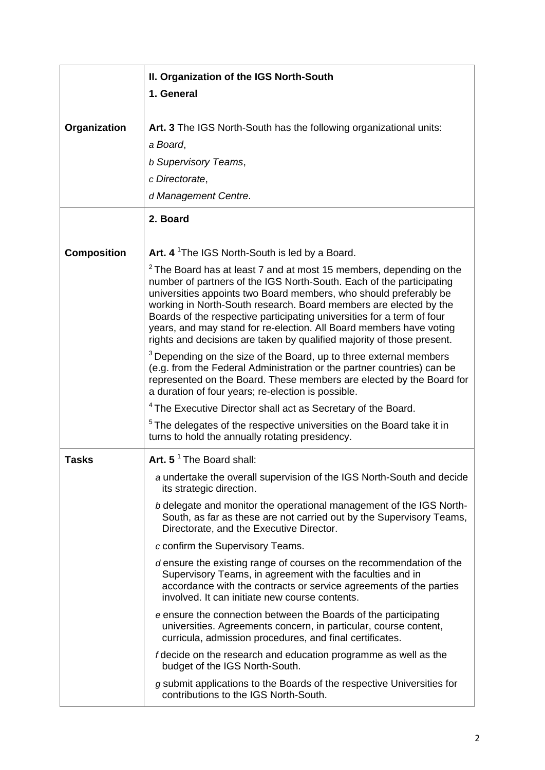|                    | II. Organization of the IGS North-South                                                                                                                                                                                                                                                                                                                                                                                                                                                                                                                                                                                                                                                                                                                                                                                                                                                                                                                                                                                                                                                       |
|--------------------|-----------------------------------------------------------------------------------------------------------------------------------------------------------------------------------------------------------------------------------------------------------------------------------------------------------------------------------------------------------------------------------------------------------------------------------------------------------------------------------------------------------------------------------------------------------------------------------------------------------------------------------------------------------------------------------------------------------------------------------------------------------------------------------------------------------------------------------------------------------------------------------------------------------------------------------------------------------------------------------------------------------------------------------------------------------------------------------------------|
|                    | 1. General                                                                                                                                                                                                                                                                                                                                                                                                                                                                                                                                                                                                                                                                                                                                                                                                                                                                                                                                                                                                                                                                                    |
| Organization       | Art. 3 The IGS North-South has the following organizational units:<br>a Board,<br><b>b Supervisory Teams,</b><br>c Directorate,<br>d Management Centre.                                                                                                                                                                                                                                                                                                                                                                                                                                                                                                                                                                                                                                                                                                                                                                                                                                                                                                                                       |
|                    | 2. Board                                                                                                                                                                                                                                                                                                                                                                                                                                                                                                                                                                                                                                                                                                                                                                                                                                                                                                                                                                                                                                                                                      |
| <b>Composition</b> | Art. 4 <sup>1</sup> The IGS North-South is led by a Board.<br>$2$ The Board has at least 7 and at most 15 members, depending on the<br>number of partners of the IGS North-South. Each of the participating<br>universities appoints two Board members, who should preferably be<br>working in North-South research. Board members are elected by the<br>Boards of the respective participating universities for a term of four<br>years, and may stand for re-election. All Board members have voting<br>rights and decisions are taken by qualified majority of those present.<br><sup>3</sup> Depending on the size of the Board, up to three external members<br>(e.g. from the Federal Administration or the partner countries) can be<br>represented on the Board. These members are elected by the Board for<br>a duration of four years; re-election is possible.<br><sup>4</sup> The Executive Director shall act as Secretary of the Board.<br><sup>5</sup> The delegates of the respective universities on the Board take it in<br>turns to hold the annually rotating presidency. |
| <b>Tasks</b>       | Art. $5^{\text{1}}$ The Board shall:                                                                                                                                                                                                                                                                                                                                                                                                                                                                                                                                                                                                                                                                                                                                                                                                                                                                                                                                                                                                                                                          |
|                    | a undertake the overall supervision of the IGS North-South and decide<br>its strategic direction.<br>b delegate and monitor the operational management of the IGS North-<br>South, as far as these are not carried out by the Supervisory Teams,<br>Directorate, and the Executive Director.                                                                                                                                                                                                                                                                                                                                                                                                                                                                                                                                                                                                                                                                                                                                                                                                  |
|                    | c confirm the Supervisory Teams.                                                                                                                                                                                                                                                                                                                                                                                                                                                                                                                                                                                                                                                                                                                                                                                                                                                                                                                                                                                                                                                              |
|                    | d ensure the existing range of courses on the recommendation of the<br>Supervisory Teams, in agreement with the faculties and in<br>accordance with the contracts or service agreements of the parties<br>involved. It can initiate new course contents.                                                                                                                                                                                                                                                                                                                                                                                                                                                                                                                                                                                                                                                                                                                                                                                                                                      |
|                    | e ensure the connection between the Boards of the participating<br>universities. Agreements concern, in particular, course content,<br>curricula, admission procedures, and final certificates.                                                                                                                                                                                                                                                                                                                                                                                                                                                                                                                                                                                                                                                                                                                                                                                                                                                                                               |
|                    | f decide on the research and education programme as well as the<br>budget of the IGS North-South.                                                                                                                                                                                                                                                                                                                                                                                                                                                                                                                                                                                                                                                                                                                                                                                                                                                                                                                                                                                             |
|                    | g submit applications to the Boards of the respective Universities for<br>contributions to the IGS North-South.                                                                                                                                                                                                                                                                                                                                                                                                                                                                                                                                                                                                                                                                                                                                                                                                                                                                                                                                                                               |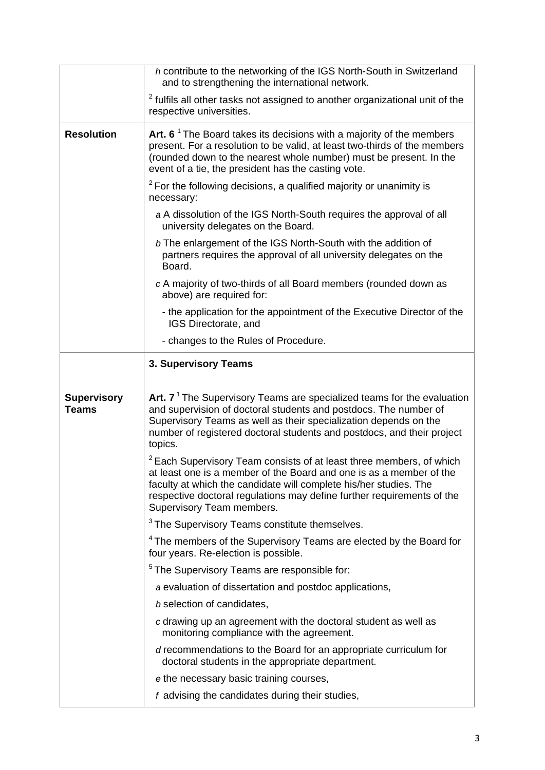|                                    | h contribute to the networking of the IGS North-South in Switzerland<br>and to strengthening the international network.                                                                                                                                                                                                            |
|------------------------------------|------------------------------------------------------------------------------------------------------------------------------------------------------------------------------------------------------------------------------------------------------------------------------------------------------------------------------------|
|                                    | <sup>2</sup> fulfils all other tasks not assigned to another organizational unit of the<br>respective universities.                                                                                                                                                                                                                |
| <b>Resolution</b>                  | Art. 6 <sup><math>1</math></sup> The Board takes its decisions with a majority of the members<br>present. For a resolution to be valid, at least two-thirds of the members<br>(rounded down to the nearest whole number) must be present. In the<br>event of a tie, the president has the casting vote.                            |
|                                    | $2$ For the following decisions, a qualified majority or unanimity is<br>necessary:                                                                                                                                                                                                                                                |
|                                    | a A dissolution of the IGS North-South requires the approval of all<br>university delegates on the Board.                                                                                                                                                                                                                          |
|                                    | b The enlargement of the IGS North-South with the addition of<br>partners requires the approval of all university delegates on the<br>Board.                                                                                                                                                                                       |
|                                    | c A majority of two-thirds of all Board members (rounded down as<br>above) are required for:                                                                                                                                                                                                                                       |
|                                    | - the application for the appointment of the Executive Director of the<br>IGS Directorate, and                                                                                                                                                                                                                                     |
|                                    | - changes to the Rules of Procedure.                                                                                                                                                                                                                                                                                               |
|                                    | 3. Supervisory Teams                                                                                                                                                                                                                                                                                                               |
|                                    |                                                                                                                                                                                                                                                                                                                                    |
|                                    |                                                                                                                                                                                                                                                                                                                                    |
| <b>Supervisory</b><br><b>Teams</b> | Art. $71$ The Supervisory Teams are specialized teams for the evaluation<br>and supervision of doctoral students and postdocs. The number of<br>Supervisory Teams as well as their specialization depends on the<br>number of registered doctoral students and postdocs, and their project<br>topics.                              |
|                                    | <sup>2</sup> Each Supervisory Team consists of at least three members, of which<br>at least one is a member of the Board and one is as a member of the<br>faculty at which the candidate will complete his/her studies. The<br>respective doctoral regulations may define further requirements of the<br>Supervisory Team members. |
|                                    | <sup>3</sup> The Supervisory Teams constitute themselves.                                                                                                                                                                                                                                                                          |
|                                    | <sup>4</sup> The members of the Supervisory Teams are elected by the Board for<br>four years. Re-election is possible.                                                                                                                                                                                                             |
|                                    | <sup>5</sup> The Supervisory Teams are responsible for:                                                                                                                                                                                                                                                                            |
|                                    | a evaluation of dissertation and postdoc applications,                                                                                                                                                                                                                                                                             |
|                                    | b selection of candidates,                                                                                                                                                                                                                                                                                                         |
|                                    | c drawing up an agreement with the doctoral student as well as<br>monitoring compliance with the agreement.                                                                                                                                                                                                                        |
|                                    | <i>d</i> recommendations to the Board for an appropriate curriculum for<br>doctoral students in the appropriate department.                                                                                                                                                                                                        |
|                                    | e the necessary basic training courses,                                                                                                                                                                                                                                                                                            |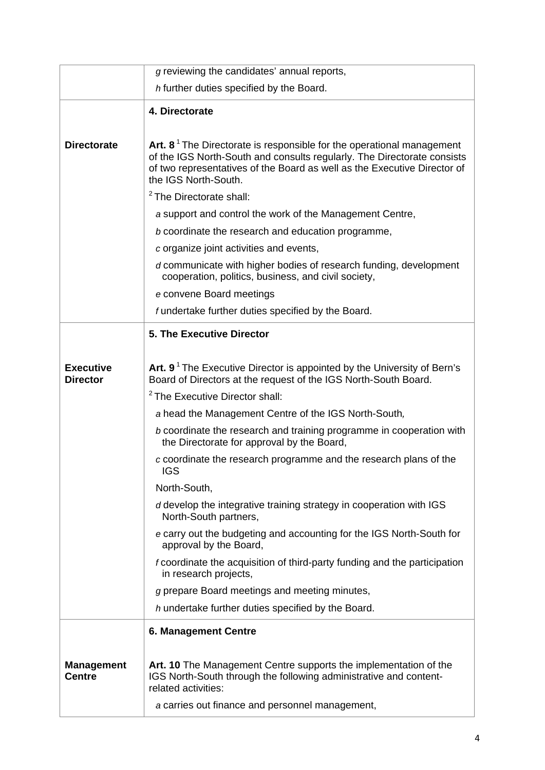|                                     | g reviewing the candidates' annual reports,                                                                                                                                                                                                                      |
|-------------------------------------|------------------------------------------------------------------------------------------------------------------------------------------------------------------------------------------------------------------------------------------------------------------|
|                                     | h further duties specified by the Board.                                                                                                                                                                                                                         |
|                                     | 4. Directorate                                                                                                                                                                                                                                                   |
|                                     |                                                                                                                                                                                                                                                                  |
| <b>Directorate</b>                  | Art. 8 <sup>1</sup> The Directorate is responsible for the operational management<br>of the IGS North-South and consults regularly. The Directorate consists<br>of two representatives of the Board as well as the Executive Director of<br>the IGS North-South. |
|                                     | <sup>2</sup> The Directorate shall:                                                                                                                                                                                                                              |
|                                     | a support and control the work of the Management Centre,                                                                                                                                                                                                         |
|                                     | b coordinate the research and education programme,                                                                                                                                                                                                               |
|                                     | c organize joint activities and events,                                                                                                                                                                                                                          |
|                                     | d communicate with higher bodies of research funding, development<br>cooperation, politics, business, and civil society,                                                                                                                                         |
|                                     | e convene Board meetings                                                                                                                                                                                                                                         |
|                                     | f undertake further duties specified by the Board.                                                                                                                                                                                                               |
|                                     | <b>5. The Executive Director</b>                                                                                                                                                                                                                                 |
|                                     |                                                                                                                                                                                                                                                                  |
| <b>Executive</b><br><b>Director</b> | Art. 9 <sup>1</sup> The Executive Director is appointed by the University of Bern's<br>Board of Directors at the request of the IGS North-South Board.                                                                                                           |
|                                     | <sup>2</sup> The Executive Director shall:                                                                                                                                                                                                                       |
|                                     | a head the Management Centre of the IGS North-South,                                                                                                                                                                                                             |
|                                     | b coordinate the research and training programme in cooperation with<br>the Directorate for approval by the Board,                                                                                                                                               |
|                                     | c coordinate the research programme and the research plans of the<br><b>IGS</b>                                                                                                                                                                                  |
|                                     | North-South,                                                                                                                                                                                                                                                     |
|                                     | d develop the integrative training strategy in cooperation with IGS<br>North-South partners,                                                                                                                                                                     |
|                                     | e carry out the budgeting and accounting for the IGS North-South for<br>approval by the Board,                                                                                                                                                                   |
|                                     | f coordinate the acquisition of third-party funding and the participation<br>in research projects,                                                                                                                                                               |
|                                     | g prepare Board meetings and meeting minutes,                                                                                                                                                                                                                    |
|                                     | h undertake further duties specified by the Board.                                                                                                                                                                                                               |
|                                     | <b>6. Management Centre</b>                                                                                                                                                                                                                                      |
|                                     |                                                                                                                                                                                                                                                                  |
| <b>Management</b><br><b>Centre</b>  | Art. 10 The Management Centre supports the implementation of the<br>IGS North-South through the following administrative and content-<br>related activities:                                                                                                     |
|                                     | a carries out finance and personnel management,                                                                                                                                                                                                                  |